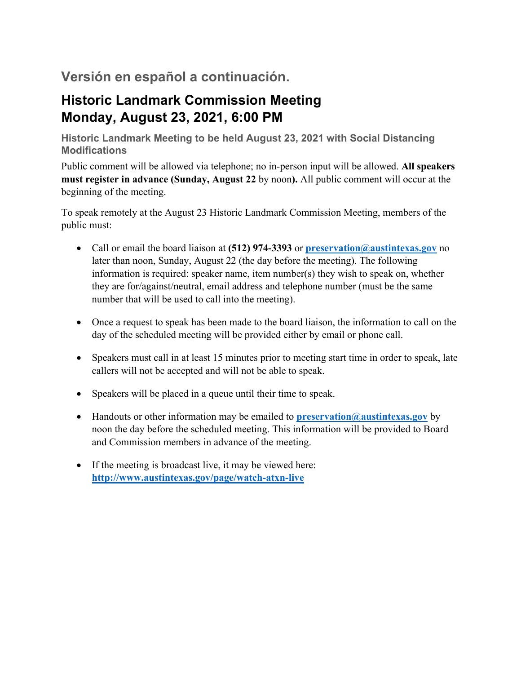# **Versión en español a continuación.**

# **Historic Landmark Commission Meeting Monday, August 23, 2021, 6:00 PM**

**Historic Landmark Meeting to be held August 23, 2021 with Social Distancing Modifications** 

Public comment will be allowed via telephone; no in-person input will be allowed. **All speakers must register in advance (Sunday, August 22** by noon**).** All public comment will occur at the beginning of the meeting.

To speak remotely at the August 23 Historic Landmark Commission Meeting, members of the public must:

- Call or email the board liaison at **(512) 974-3393** or **preservation@austintexas.gov** no later than noon, Sunday, August 22 (the day before the meeting). The following information is required: speaker name, item number(s) they wish to speak on, whether they are for/against/neutral, email address and telephone number (must be the same number that will be used to call into the meeting).
- Once a request to speak has been made to the board liaison, the information to call on the day of the scheduled meeting will be provided either by email or phone call.
- Speakers must call in at least 15 minutes prior to meeting start time in order to speak, late callers will not be accepted and will not be able to speak.
- Speakers will be placed in a queue until their time to speak.
- Handouts or other information may be emailed to **preservation@austintexas.gov** by noon the day before the scheduled meeting. This information will be provided to Board and Commission members in advance of the meeting.
- If the meeting is broadcast live, it may be viewed here: **http://www.austintexas.gov/page/watch-atxn-live**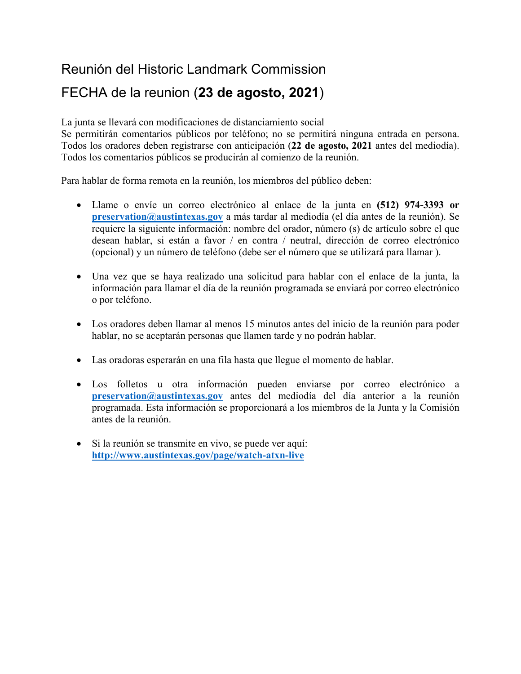# Reunión del Historic Landmark Commission

# FECHA de la reunion (**23 de agosto, 2021**)

La junta se llevará con modificaciones de distanciamiento social

Se permitirán comentarios públicos por teléfono; no se permitirá ninguna entrada en persona. Todos los oradores deben registrarse con anticipación (**22 de agosto, 2021** antes del mediodía). Todos los comentarios públicos se producirán al comienzo de la reunión.

Para hablar de forma remota en la reunión, los miembros del público deben:

- Llame o envíe un correo electrónico al enlace de la junta en **(512) 974-3393 or preservation@austintexas.gov** a más tardar al mediodía (el día antes de la reunión). Se requiere la siguiente información: nombre del orador, número (s) de artículo sobre el que desean hablar, si están a favor / en contra / neutral, dirección de correo electrónico (opcional) y un número de teléfono (debe ser el número que se utilizará para llamar ).
- Una vez que se haya realizado una solicitud para hablar con el enlace de la junta, la información para llamar el día de la reunión programada se enviará por correo electrónico o por teléfono.
- Los oradores deben llamar al menos 15 minutos antes del inicio de la reunión para poder hablar, no se aceptarán personas que llamen tarde y no podrán hablar.
- Las oradoras esperarán en una fila hasta que llegue el momento de hablar.
- Los folletos u otra información pueden enviarse por correo electrónico a **preservation@austintexas.gov** antes del mediodía del día anterior a la reunión programada. Esta información se proporcionará a los miembros de la Junta y la Comisión antes de la reunión.
- Si la reunión se transmite en vivo, se puede ver aquí: **http://www.austintexas.gov/page/watch-atxn-live**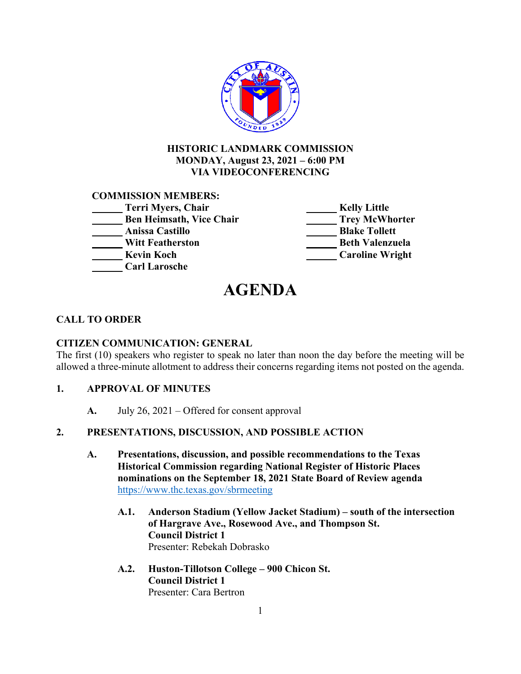

# **HISTORIC LANDMARK COMMISSION MONDAY, August 23, 2021 – 6:00 PM VIA VIDEOCONFERENCING**

# **COMMISSION MEMBERS:**

| Terri Myers, Chair              | <b>Kelly Little</b>    |
|---------------------------------|------------------------|
| <b>Ben Heimsath, Vice Chair</b> | <b>Trey McWhorter</b>  |
| Anissa Castillo                 | <b>Blake Tollett</b>   |
| <b>Witt Featherston</b>         | <b>Beth Valenzuela</b> |
| <b>Kevin Koch</b>               | <b>Caroline Wright</b> |
| <b>Carl Larosche</b>            |                        |

# **AGENDA**

# **CALL TO ORDER**

# **CITIZEN COMMUNICATION: GENERAL**

The first (10) speakers who register to speak no later than noon the day before the meeting will be allowed a three-minute allotment to address their concerns regarding items not posted on the agenda.

# **1. APPROVAL OF MINUTES**

**A.** July 26, 2021 – Offered for consent approval

# **2. PRESENTATIONS, DISCUSSION, AND POSSIBLE ACTION**

- **A. Presentations, discussion, and possible recommendations to the Texas Historical Commission regarding National Register of Historic Places nominations on the September 18, 2021 State Board of Review agenda**  https://www.thc.texas.gov/sbrmeeting
	- **A.1. Anderson Stadium (Yellow Jacket Stadium) south of the intersection of Hargrave Ave., Rosewood Ave., and Thompson St. Council District 1** Presenter: Rebekah Dobrasko
	- **A.2. Huston-Tillotson College 900 Chicon St. Council District 1** Presenter: Cara Bertron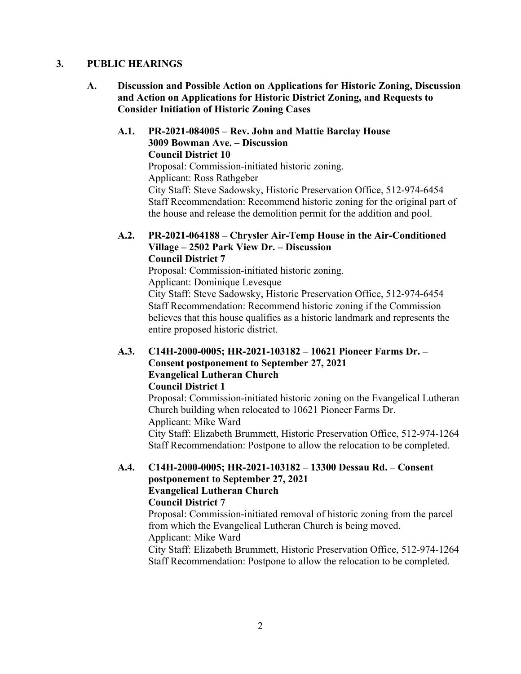# **3. PUBLIC HEARINGS**

**A. Discussion and Possible Action on Applications for Historic Zoning, Discussion and Action on Applications for Historic District Zoning, and Requests to Consider Initiation of Historic Zoning Cases** 

# **A.1. PR-2021-084005 – Rev. John and Mattie Barclay House 3009 Bowman Ave. – Discussion Council District 10** Proposal: Commission-initiated historic zoning. Applicant: Ross Rathgeber City Staff: Steve Sadowsky, Historic Preservation Office, 512-974-6454 Staff Recommendation: Recommend historic zoning for the original part of the house and release the demolition permit for the addition and pool.

# **A.2. PR-2021-064188 – Chrysler Air-Temp House in the Air-Conditioned Village – 2502 Park View Dr. – Discussion Council District 7**

Proposal: Commission-initiated historic zoning. Applicant: Dominique Levesque City Staff: Steve Sadowsky, Historic Preservation Office, 512-974-6454 Staff Recommendation: Recommend historic zoning if the Commission believes that this house qualifies as a historic landmark and represents the entire proposed historic district.

# **A.3. C14H-2000-0005; HR-2021-103182 – 10621 Pioneer Farms Dr. – Consent postponement to September 27, 2021 Evangelical Lutheran Church Council District 1**

Proposal: Commission-initiated historic zoning on the Evangelical Lutheran Church building when relocated to 10621 Pioneer Farms Dr. Applicant: Mike Ward City Staff: Elizabeth Brummett, Historic Preservation Office, 512-974-1264 Staff Recommendation: Postpone to allow the relocation to be completed.

# **A.4. C14H-2000-0005; HR-2021-103182 – 13300 Dessau Rd. – Consent postponement to September 27, 2021 Evangelical Lutheran Church Council District 7**

Proposal: Commission-initiated removal of historic zoning from the parcel from which the Evangelical Lutheran Church is being moved. Applicant: Mike Ward

City Staff: Elizabeth Brummett, Historic Preservation Office, 512-974-1264 Staff Recommendation: Postpone to allow the relocation to be completed.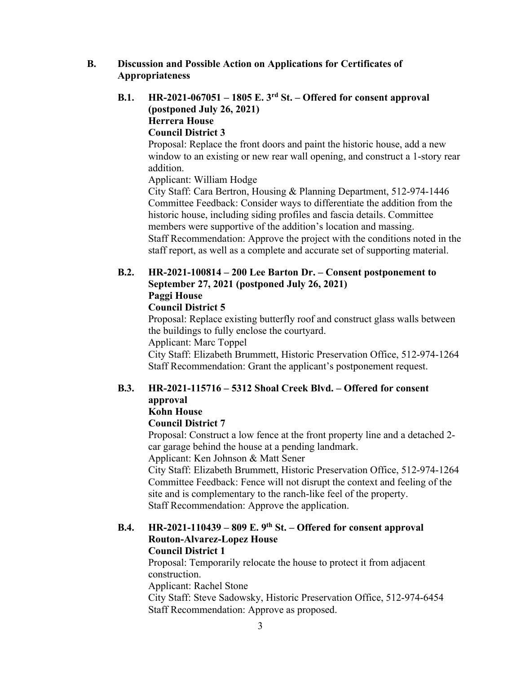# **B. Discussion and Possible Action on Applications for Certificates of Appropriateness**

# **B.1. HR-2021-067051 – 1805 E. 3rd St. – Offered for consent approval (postponed July 26, 2021) Herrera House**

# **Council District 3**

Proposal: Replace the front doors and paint the historic house, add a new window to an existing or new rear wall opening, and construct a 1-story rear addition.

Applicant: William Hodge

City Staff: Cara Bertron, Housing & Planning Department, 512-974-1446 Committee Feedback: Consider ways to differentiate the addition from the historic house, including siding profiles and fascia details. Committee members were supportive of the addition's location and massing. Staff Recommendation: Approve the project with the conditions noted in the staff report, as well as a complete and accurate set of supporting material.

# **B.2. HR-2021-100814 – 200 Lee Barton Dr. – Consent postponement to September 27, 2021 (postponed July 26, 2021) Paggi House**

# **Council District 5**

Proposal: Replace existing butterfly roof and construct glass walls between the buildings to fully enclose the courtyard.

Applicant: Marc Toppel

City Staff: Elizabeth Brummett, Historic Preservation Office, 512-974-1264 Staff Recommendation: Grant the applicant's postponement request.

#### **B.3. HR-2021-115716 – 5312 Shoal Creek Blvd. – Offered for consent approval Kohn House**

# **Council District 7**

Proposal: Construct a low fence at the front property line and a detached 2 car garage behind the house at a pending landmark.

Applicant: Ken Johnson & Matt Sener

City Staff: Elizabeth Brummett, Historic Preservation Office, 512-974-1264 Committee Feedback: Fence will not disrupt the context and feeling of the site and is complementary to the ranch-like feel of the property. Staff Recommendation: Approve the application.

# **B.4. HR-2021-110439 – 809 E. 9th St. – Offered for consent approval Routon-Alvarez-Lopez House**

# **Council District 1**

Proposal: Temporarily relocate the house to protect it from adjacent construction.

Applicant: Rachel Stone

City Staff: Steve Sadowsky, Historic Preservation Office, 512-974-6454 Staff Recommendation: Approve as proposed.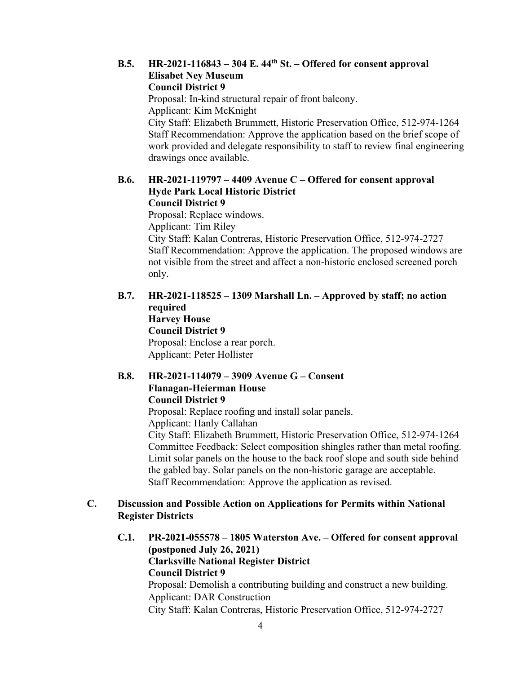#### **B.5. HR-2021-116843 – 304 E. 44th St. – Offered for consent approval Elisabet Ney Museum Council District 9**

Proposal: In-kind structural repair of front balcony. Applicant: Kim McKnight City Staff: Elizabeth Brummett, Historic Preservation Office, 512-974-1264 Staff Recommendation: Approve the application based on the brief scope of work provided and delegate responsibility to staff to review final engineering drawings once available.

#### **B.6. HR-2021-119797 – 4409 Avenue C – Offered for consent approval Hyde Park Local Historic District Council District 9**

Proposal: Replace windows. Applicant: Tim Riley City Staff: Kalan Contreras, Historic Preservation Office, 512-974-2727 Staff Recommendation: Approve the application. The proposed windows are not visible from the street and affect a non-historic enclosed screened porch only.

# **B.7. HR-2021-118525 – 1309 Marshall Ln. – Approved by staff; no action required Harvey House Council District 9** Proposal: Enclose a rear porch. Applicant: Peter Hollister

# **B.8. HR-2021-114079 – 3909 Avenue G – Consent Flanagan-Heierman House Council District 9**

Proposal: Replace roofing and install solar panels. Applicant: Hanly Callahan City Staff: Elizabeth Brummett, Historic Preservation Office, 512-974-1264 Committee Feedback: Select composition shingles rather than metal roofing. Limit solar panels on the house to the back roof slope and south side behind the gabled bay. Solar panels on the non-historic garage are acceptable. Staff Recommendation: Approve the application as revised.

# **C. Discussion and Possible Action on Applications for Permits within National Register Districts**

**C.1. PR-2021-055578 – 1805 Waterston Ave. – Offered for consent approval (postponed July 26, 2021) Clarksville National Register District Council District 9**  Proposal: Demolish a contributing building and construct a new building. Applicant: DAR Construction City Staff: Kalan Contreras, Historic Preservation Office, 512-974-2727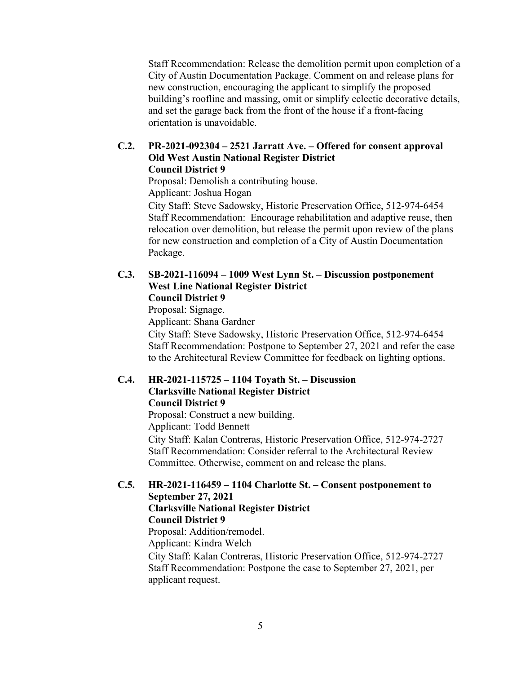Staff Recommendation: Release the demolition permit upon completion of a City of Austin Documentation Package. Comment on and release plans for new construction, encouraging the applicant to simplify the proposed building's roofline and massing, omit or simplify eclectic decorative details, and set the garage back from the front of the house if a front-facing orientation is unavoidable.

#### **C.2. PR-2021-092304 – 2521 Jarratt Ave. – Offered for consent approval Old West Austin National Register District Council District 9**

Proposal: Demolish a contributing house. Applicant: Joshua Hogan

City Staff: Steve Sadowsky, Historic Preservation Office, 512-974-6454 Staff Recommendation: Encourage rehabilitation and adaptive reuse, then relocation over demolition, but release the permit upon review of the plans for new construction and completion of a City of Austin Documentation Package.

### **C.3. SB-2021-116094 – 1009 West Lynn St. – Discussion postponement West Line National Register District Council District 9**

Proposal: Signage.

Applicant: Shana Gardner

City Staff: Steve Sadowsky, Historic Preservation Office, 512-974-6454 Staff Recommendation: Postpone to September 27, 2021 and refer the case to the Architectural Review Committee for feedback on lighting options.

# **C.4. HR-2021-115725 – 1104 Toyath St. – Discussion Clarksville National Register District Council District 9**

Proposal: Construct a new building.

Applicant: Todd Bennett

City Staff: Kalan Contreras, Historic Preservation Office, 512-974-2727 Staff Recommendation: Consider referral to the Architectural Review Committee. Otherwise, comment on and release the plans.

# **C.5. HR-2021-116459 – 1104 Charlotte St. – Consent postponement to September 27, 2021**

#### **Clarksville National Register District Council District 9**

Proposal: Addition/remodel.

Applicant: Kindra Welch

City Staff: Kalan Contreras, Historic Preservation Office, 512-974-2727 Staff Recommendation: Postpone the case to September 27, 2021, per applicant request.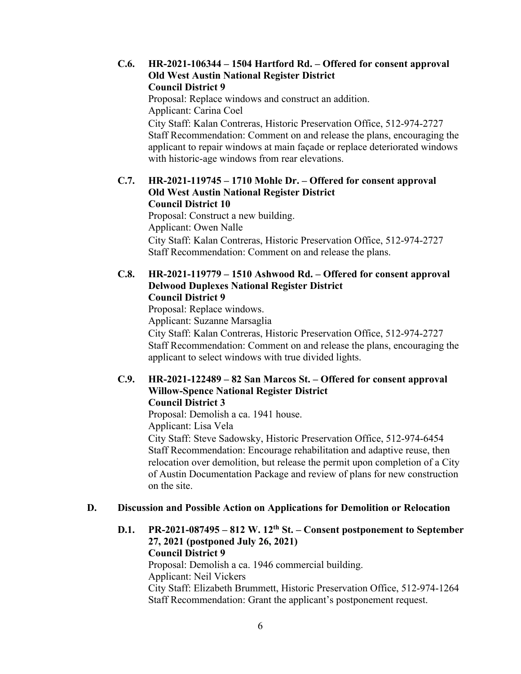# **C.6. HR-2021-106344 – 1504 Hartford Rd. – Offered for consent approval Old West Austin National Register District Council District 9**

Proposal: Replace windows and construct an addition. Applicant: Carina Coel

City Staff: Kalan Contreras, Historic Preservation Office, 512-974-2727 Staff Recommendation: Comment on and release the plans, encouraging the applicant to repair windows at main façade or replace deteriorated windows with historic-age windows from rear elevations.

#### **C.7. HR-2021-119745 – 1710 Mohle Dr. – Offered for consent approval Old West Austin National Register District Council District 10**

Proposal: Construct a new building. Applicant: Owen Nalle City Staff: Kalan Contreras, Historic Preservation Office, 512-974-2727 Staff Recommendation: Comment on and release the plans.

# **C.8. HR-2021-119779 – 1510 Ashwood Rd. – Offered for consent approval Delwood Duplexes National Register District Council District 9**

Proposal: Replace windows. Applicant: Suzanne Marsaglia City Staff: Kalan Contreras, Historic Preservation Office, 512-974-2727 Staff Recommendation: Comment on and release the plans, encouraging the applicant to select windows with true divided lights.

### **C.9. HR-2021-122489 – 82 San Marcos St. – Offered for consent approval Willow-Spence National Register District Council District 3**

Proposal: Demolish a ca. 1941 house.

Applicant: Lisa Vela

City Staff: Steve Sadowsky, Historic Preservation Office, 512-974-6454 Staff Recommendation: Encourage rehabilitation and adaptive reuse, then relocation over demolition, but release the permit upon completion of a City of Austin Documentation Package and review of plans for new construction on the site.

# **D. Discussion and Possible Action on Applications for Demolition or Relocation**

**D.1. PR-2021-087495 – 812 W. 12th St. – Consent postponement to September 27, 2021 (postponed July 26, 2021) Council District 9** 

Proposal: Demolish a ca. 1946 commercial building. Applicant: Neil Vickers City Staff: Elizabeth Brummett, Historic Preservation Office, 512-974-1264 Staff Recommendation: Grant the applicant's postponement request.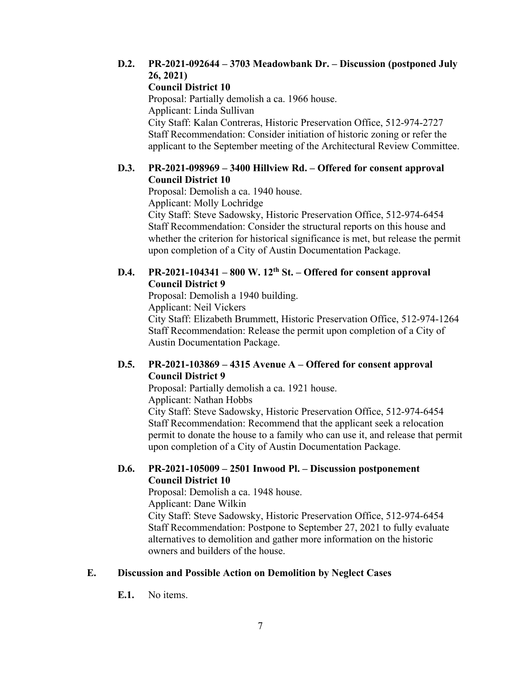# **D.2. PR-2021-092644 – 3703 Meadowbank Dr. – Discussion (postponed July 26, 2021)**

# **Council District 10**

Proposal: Partially demolish a ca. 1966 house. Applicant: Linda Sullivan City Staff: Kalan Contreras, Historic Preservation Office, 512-974-2727 Staff Recommendation: Consider initiation of historic zoning or refer the applicant to the September meeting of the Architectural Review Committee.

# **D.3. PR-2021-098969 – 3400 Hillview Rd. – Offered for consent approval Council District 10**

Proposal: Demolish a ca. 1940 house.

Applicant: Molly Lochridge

City Staff: Steve Sadowsky, Historic Preservation Office, 512-974-6454 Staff Recommendation: Consider the structural reports on this house and whether the criterion for historical significance is met, but release the permit upon completion of a City of Austin Documentation Package.

# **D.4. PR-2021-104341 – 800 W. 12th St. – Offered for consent approval Council District 9**

Proposal: Demolish a 1940 building.

Applicant: Neil Vickers

City Staff: Elizabeth Brummett, Historic Preservation Office, 512-974-1264 Staff Recommendation: Release the permit upon completion of a City of Austin Documentation Package.

# **D.5. PR-2021-103869 – 4315 Avenue A – Offered for consent approval Council District 9**

Proposal: Partially demolish a ca. 1921 house.

Applicant: Nathan Hobbs

City Staff: Steve Sadowsky, Historic Preservation Office, 512-974-6454 Staff Recommendation: Recommend that the applicant seek a relocation permit to donate the house to a family who can use it, and release that permit upon completion of a City of Austin Documentation Package.

# **D.6. PR-2021-105009 – 2501 Inwood Pl. – Discussion postponement Council District 10**

Proposal: Demolish a ca. 1948 house.

Applicant: Dane Wilkin

City Staff: Steve Sadowsky, Historic Preservation Office, 512-974-6454 Staff Recommendation: Postpone to September 27, 2021 to fully evaluate alternatives to demolition and gather more information on the historic owners and builders of the house.

# **E. Discussion and Possible Action on Demolition by Neglect Cases**

**E.1.** No items.